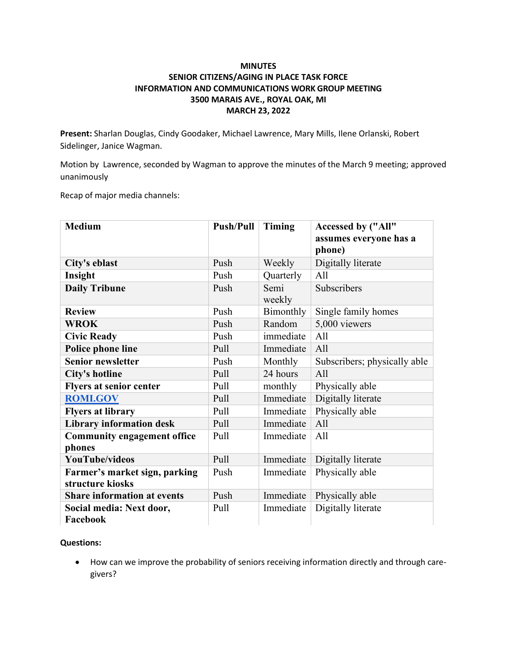### **MINUTES SENIOR CITIZENS/AGING IN PLACE TASK FORCE INFORMATION AND COMMUNICATIONS WORK GROUP MEETING 3500 MARAIS AVE., ROYAL OAK, MI MARCH 23, 2022**

**Present:** Sharlan Douglas, Cindy Goodaker, Michael Lawrence, Mary Mills, Ilene Orlanski, Robert Sidelinger, Janice Wagman.

Motion by Lawrence, seconded by Wagman to approve the minutes of the March 9 meeting; approved unanimously

Recap of major media channels:

| <b>Medium</b>                                | <b>Push/Pull</b> | Timing         | Accessed by ("All"<br>assumes everyone has a |
|----------------------------------------------|------------------|----------------|----------------------------------------------|
|                                              |                  |                | phone)                                       |
| City's eblast                                | Push             | Weekly         | Digitally literate                           |
| Insight                                      | Push             | Quarterly      | All                                          |
| <b>Daily Tribune</b>                         | Push             | Semi<br>weekly | Subscribers                                  |
| <b>Review</b>                                | Push             | Bimonthly      | Single family homes                          |
| <b>WROK</b>                                  | Push             | Random         | 5,000 viewers                                |
| <b>Civic Ready</b>                           | Push             | immediate      | A11                                          |
| Police phone line                            | Pull             | Immediate      | A11                                          |
| <b>Senior newsletter</b>                     | Push             | Monthly        | Subscribers; physically able                 |
| <b>City's hotline</b>                        | Pull             | 24 hours       | A11                                          |
| <b>Flyers at senior center</b>               | Pull             | monthly        | Physically able                              |
| <b>ROMLGOV</b>                               | Pull             | Immediate      | Digitally literate                           |
| <b>Flyers at library</b>                     | Pull             | Immediate      | Physically able                              |
| <b>Library information desk</b>              | Pull             | Immediate      | A11                                          |
| <b>Community engagement office</b><br>phones | Pull             | Immediate      | A11                                          |
| <b>YouTube/videos</b>                        | Pull             | Immediate      | Digitally literate                           |
| Farmer's market sign, parking                | Push             | Immediate      | Physically able                              |
| structure kiosks                             |                  |                |                                              |
| <b>Share information at events</b>           | Push             | Immediate      | Physically able                              |
| Social media: Next door,<br>Facebook         | Pull             | Immediate      | Digitally literate                           |

#### **Questions:**

• How can we improve the probability of seniors receiving information directly and through caregivers?